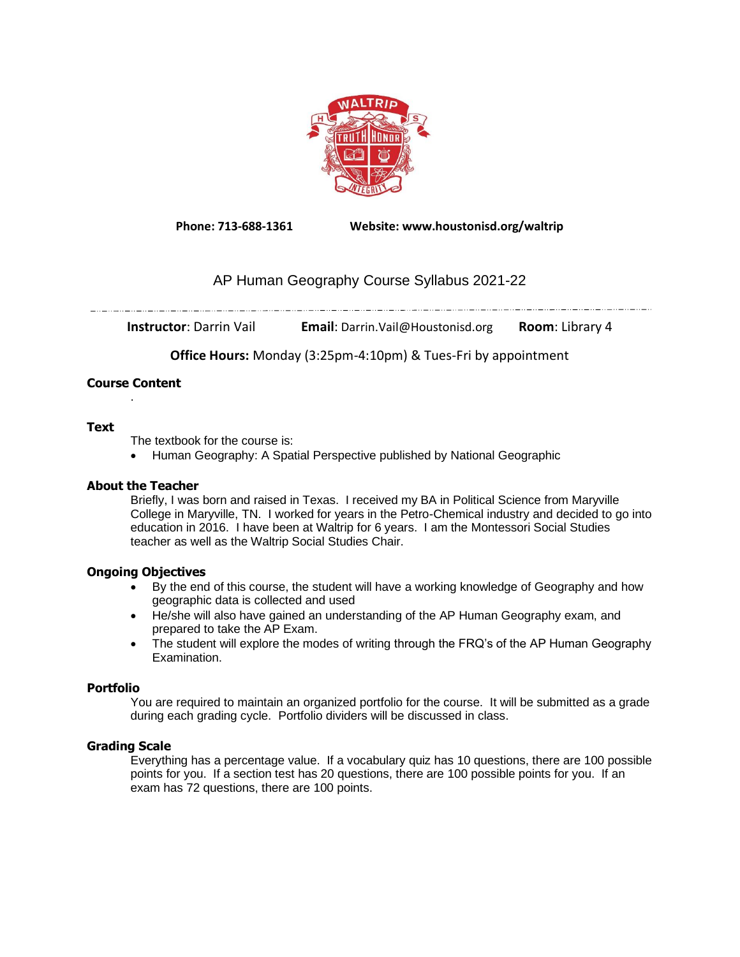

**Phone: 713-688-1361 Website: www.houstonisd.org/waltrip**

# AP Human Geography Course Syllabus 2021-22

**Instructor**: Darrin Vail **Email**: Darrin.Vail@Houstonisd.org **Room**: Library 4

**Office Hours:** Monday (3:25pm-4:10pm) & Tues-Fri by appointment

#### **Course Content** .

# **Text**

The textbook for the course is:

• Human Geography: A Spatial Perspective published by National Geographic

# **About the Teacher**

Briefly, I was born and raised in Texas. I received my BA in Political Science from Maryville College in Maryville, TN. I worked for years in the Petro-Chemical industry and decided to go into education in 2016. I have been at Waltrip for 6 years. I am the Montessori Social Studies teacher as well as the Waltrip Social Studies Chair.

# **Ongoing Objectives**

- By the end of this course, the student will have a working knowledge of Geography and how geographic data is collected and used
- He/she will also have gained an understanding of the AP Human Geography exam, and prepared to take the AP Exam.
- The student will explore the modes of writing through the FRQ's of the AP Human Geography Examination.

#### **Portfolio**

You are required to maintain an organized portfolio for the course. It will be submitted as a grade during each grading cycle. Portfolio dividers will be discussed in class.

# **Grading Scale**

Everything has a percentage value. If a vocabulary quiz has 10 questions, there are 100 possible points for you. If a section test has 20 questions, there are 100 possible points for you. If an exam has 72 questions, there are 100 points.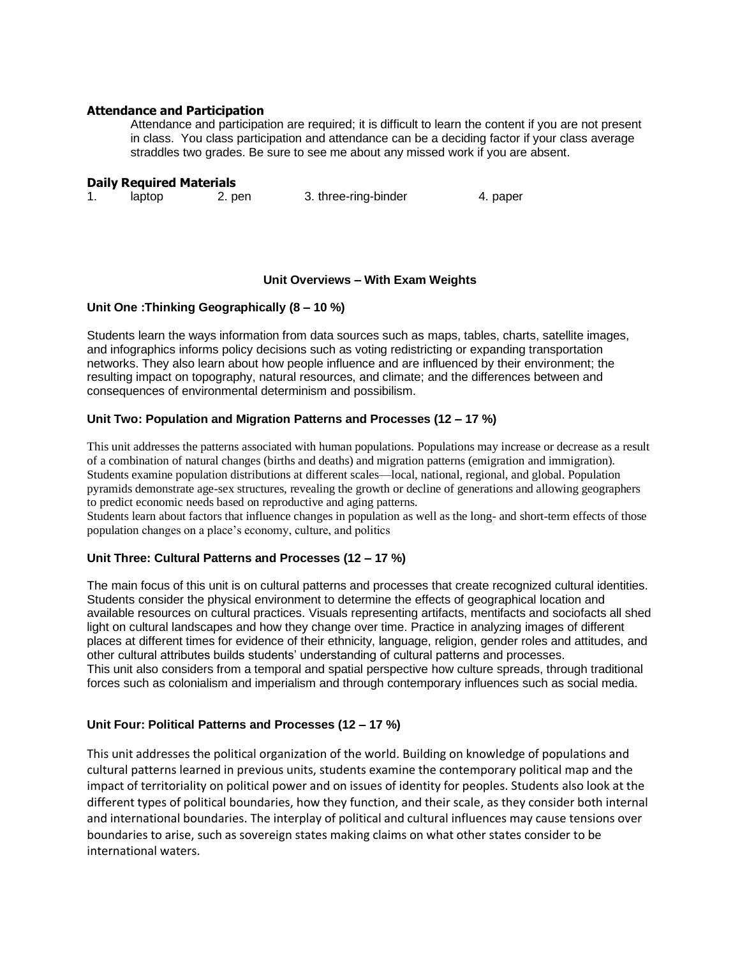#### **Attendance and Participation**

Attendance and participation are required; it is difficult to learn the content if you are not present in class. You class participation and attendance can be a deciding factor if your class average straddles two grades. Be sure to see me about any missed work if you are absent.

#### **Daily Required Materials**

1. laptop 2. pen 3. three-ring-binder 4. paper

### **Unit Overviews – With Exam Weights**

### **Unit One :Thinking Geographically (8 – 10 %)**

Students learn the ways information from data sources such as maps, tables, charts, satellite images, and infographics informs policy decisions such as voting redistricting or expanding transportation networks. They also learn about how people influence and are influenced by their environment; the resulting impact on topography, natural resources, and climate; and the differences between and consequences of environmental determinism and possibilism.

### **Unit Two: Population and Migration Patterns and Processes (12 – 17 %)**

This unit addresses the patterns associated with human populations. Populations may increase or decrease as a result of a combination of natural changes (births and deaths) and migration patterns (emigration and immigration). Students examine population distributions at different scales—local, national, regional, and global. Population pyramids demonstrate age-sex structures, revealing the growth or decline of generations and allowing geographers to predict economic needs based on reproductive and aging patterns.

Students learn about factors that influence changes in population as well as the long- and short-term effects of those population changes on a place's economy, culture, and politics

#### **Unit Three: Cultural Patterns and Processes (12 – 17 %)**

The main focus of this unit is on cultural patterns and processes that create recognized cultural identities. Students consider the physical environment to determine the effects of geographical location and available resources on cultural practices. Visuals representing artifacts, mentifacts and sociofacts all shed light on cultural landscapes and how they change over time. Practice in analyzing images of different places at different times for evidence of their ethnicity, language, religion, gender roles and attitudes, and other cultural attributes builds students' understanding of cultural patterns and processes. This unit also considers from a temporal and spatial perspective how culture spreads, through traditional forces such as colonialism and imperialism and through contemporary influences such as social media.

#### **Unit Four: Political Patterns and Processes (12 – 17 %)**

This unit addresses the political organization of the world. Building on knowledge of populations and cultural patterns learned in previous units, students examine the contemporary political map and the impact of territoriality on political power and on issues of identity for peoples. Students also look at the different types of political boundaries, how they function, and their scale, as they consider both internal and international boundaries. The interplay of political and cultural influences may cause tensions over boundaries to arise, such as sovereign states making claims on what other states consider to be international waters.